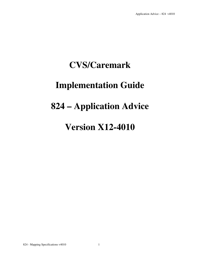### **CVS/Caremark**

### **Implementation Guide**

### **824 – Application Advice**

### **Version X12-4010**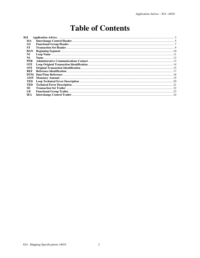### **Table of Contents**

| 824            |  |
|----------------|--|
| <b>ISA</b>     |  |
| <b>GS</b>      |  |
| SТ             |  |
| BGN            |  |
| $\mathbf{N}$ 1 |  |
| N1             |  |
| <b>PER</b>     |  |
| <b>OTI</b>     |  |
| <b>OTI</b>     |  |
| <b>REF</b>     |  |
| DTM            |  |
| AMT            |  |
| TED            |  |
| TED            |  |
| SE             |  |
| <b>GE</b>      |  |
| IEA.           |  |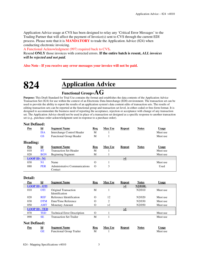Application Advice usage at CVS has been designed to relay any 'Critical Error Messages' to the Trading Partner that will affect the payment of Invoice(s) sent to CVS through the current EDI process. Please note that it is **MANDATORY** to trade the Application Advice (824) when conducting electronic invoicing.

A Functional Acknowledgment (997) required back to CVS**.** 

Resend **ONLY** those invoices with corrected errors. **If the entire batch is resent,** *ALL invoices will be rejected and not paid.* 

#### **Also Note - If you receive any error messages your invoice will not be paid.**

### **824 Application Advice**

### **Functional Group=AG**

**Purpose:** This Draft Standard for Trial Use contains the format and establishes the data contents of the Application Advice Transaction Set (824) for use within the context of an Electronic Data Interchange (EDI) environment. The transaction set can be used to provide the ability to report the results of an application system's data content edits of transaction sets. The results of editing transaction sets can be reported at the functional group and transaction set level, in either coded or free-form format. It is designed to accommodate the business need of reporting the acceptance, rejection or acceptance with change of any transaction set. The Application Advice should not be used in place of a transaction set designed as a specific response to another transaction set (e.g., purchase order acknowledgment sent in response to a purchase order).

#### **Not Defined:**

| Pos                     | $\underline{\mathbf{Id}}$<br><b>ISA</b><br><b>GS</b> | <b>Segment Name</b><br>Interchange Control Header<br><b>Functional Group Header</b> | <b>Req</b><br>M<br>M | <b>Max Use</b> | Repeat        | <b>Notes</b> | <b>Usage</b><br>Must use<br>Must use |
|-------------------------|------------------------------------------------------|-------------------------------------------------------------------------------------|----------------------|----------------|---------------|--------------|--------------------------------------|
| Heading:                |                                                      |                                                                                     |                      |                |               |              |                                      |
| Pos                     | $\underline{\mathbf{Id}}$                            | <b>Segment Name</b>                                                                 | Req                  | <b>Max Use</b> | <b>Repeat</b> | <b>Notes</b> | <b>Usage</b>                         |
| 010                     | <b>ST</b>                                            | <b>Transaction Set Header</b>                                                       | M                    |                |               |              | Must use                             |
| 020                     | <b>BGN</b>                                           | <b>Beginning Segment</b>                                                            | M                    |                |               |              | Must use                             |
| $LOOP$ ID $\text{-}$ N1 |                                                      |                                                                                     |                      |                | $\geq$ 1      |              |                                      |
| 030                     | N1                                                   | Name                                                                                | $\Omega$             |                |               |              | Must use                             |
| 080                     | <b>PER</b>                                           | Administrative Communications<br>Contact                                            | $\Omega$             | 3              |               |              | Used                                 |

#### **Detail:**

| Pos                 | Id                        | <b>Segment Name</b>                           | Req      | <b>Max Use</b> | <b>Repeat</b>       | <b>Notes</b>   | <b>Usage</b> |
|---------------------|---------------------------|-----------------------------------------------|----------|----------------|---------------------|----------------|--------------|
|                     | <b>LOOP ID - OTI</b>      |                                               |          |                | $\geq$ <sup>1</sup> | <b>N2/010L</b> |              |
| 010                 | <b>OTI</b>                | Original Transaction<br><b>Identification</b> | M        |                |                     | N2/010         | Must use     |
| 020                 | <b>REF</b>                | Reference Identification                      | $\Omega$ | 12             |                     | N2/020         | Must use     |
| 030                 | <b>DTM</b>                | Date/Time Reference                           | O        | 2              |                     | N2/030         | Must use     |
| 050                 | <b>AMT</b>                | <b>Monetary Amount</b>                        | О        | >1             |                     | N2/050         | Must use     |
|                     | <b>LOOP ID - TED</b>      |                                               |          |                | $\geq$ 1            |                |              |
| 070                 | <b>TED</b>                | <b>Technical Error Description</b>            | $\Omega$ |                |                     |                | Must use     |
| 090                 | <b>SE</b>                 | <b>Transaction Set Trailer</b>                | M        |                |                     |                | Must use     |
| <b>Not Defined:</b> |                           |                                               |          |                |                     |                |              |
| Pos                 | $\underline{\mathbf{Id}}$ | <b>Segment Name</b>                           | Req      | <b>Max Use</b> | Repeat              | <b>Notes</b>   | <b>Usage</b> |
|                     | <b>GE</b>                 | <b>Functional Group Trailer</b>               | M        |                |                     |                | Must use     |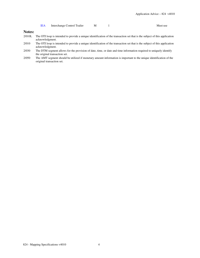| <b>IEA</b> | Interchange Control Trailer |  |  | Must use |
|------------|-----------------------------|--|--|----------|
|------------|-----------------------------|--|--|----------|

#### **Notes:**

- 2/010L The OTI loop is intended to provide a unique identification of the transaction set that is the subject of this application acknowledgment.
- 2/010 The OTI loop is intended to provide a unique identification of the transaction set that is the subject of this application acknowledgment.
- 2/030 The DTM segment allows for the provision of date, time, or date and time information required to uniquely identify the original transaction set.
- 2/050 The AMT segment should be utilized if monetary amount information is important to the unique identification of the original transaction set.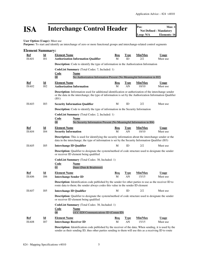## **ISA** Interchange Control Header **Posi** Not Defined - Mandatory Max: 1

**User Option (Usage):** Must use

**Purpose:** To start and identify an interchange of zero or more functional groups and interchange-related control segments

| <b>Element Summary:</b>    |                                              |                                                                                                                                                                                                                                     |                 |                   |                         |                          |  |  |
|----------------------------|----------------------------------------------|-------------------------------------------------------------------------------------------------------------------------------------------------------------------------------------------------------------------------------------|-----------------|-------------------|-------------------------|--------------------------|--|--|
| <b>Ref</b><br>ISA01        | $\underline{\mathbf{Id}}$<br>I <sub>01</sub> | <b>Element Name</b><br><b>Authorization Information Qualifier</b>                                                                                                                                                                   | <u>Req</u><br>M | <b>Type</b><br>ID | Min/Max<br>2/2          | <b>Usage</b><br>Must use |  |  |
|                            |                                              | <b>Description:</b> Code to identify the type of information in the Authorization Information                                                                                                                                       |                 |                   |                         |                          |  |  |
|                            |                                              | <b>CodeList Summary</b> (Total Codes: 7, Included: 1)<br>Code<br><b>Name</b><br>$\overline{00}$<br>No Authorization Information Present (No Meaningful Information in I02)                                                          |                 |                   |                         |                          |  |  |
| <u>Ref</u><br><b>ISA02</b> | $\underline{\mathbf{Id}}$<br>I <sub>02</sub> | <b>Element Name</b><br><b>Authorization Information</b>                                                                                                                                                                             | <u>Req</u><br>M | <b>Type</b><br>AN | <u>Min/Max</u><br>10/10 | Usage<br>Must use        |  |  |
|                            |                                              | <b>Description:</b> Information used for additional identification or authorization of the interchange sender<br>or the data in the interchange; the type of information is set by the Authorization Information Qualifier<br>(IO1) |                 |                   |                         |                          |  |  |
| ISA <sub>03</sub>          | I03                                          | <b>Security Information Qualifier</b>                                                                                                                                                                                               | М               | ID                | 2/2                     | Must use                 |  |  |
|                            |                                              | <b>Description:</b> Code to identify the type of information in the Security Information                                                                                                                                            |                 |                   |                         |                          |  |  |
|                            |                                              | CodeList Summary (Total Codes: 2, Included: 1)<br>Code<br>Name<br>$00\,$<br>No Security Information Present (No Meaningful Information in I04)                                                                                      |                 |                   |                         |                          |  |  |
| Ref<br>ISA04               | Id<br><b>I04</b>                             | <b>Element Name</b><br><b>Security Information</b>                                                                                                                                                                                  | <u>Req</u><br>M | <u>Type</u><br>AN | Min/Max<br>10/10        | <b>Usage</b><br>Must use |  |  |
|                            |                                              | <b>Description:</b> This is used for identifying the security information about the interchange sender or the<br>data in the interchange; the type of information is set by the Security Information Qualifier (I03)                |                 |                   |                         |                          |  |  |
| ISA <sub>05</sub>          | I05                                          | <b>Interchange ID Qualifier</b>                                                                                                                                                                                                     | М               | ID                | 2/2                     | Must use                 |  |  |
|                            |                                              | <b>Description:</b> Qualifier to designate the system/method of code structure used to designate the sender<br>or receiver ID element being qualified                                                                               |                 |                   |                         |                          |  |  |
|                            |                                              | CodeList Summary (Total Codes: 38, Included: 1)<br><b>Code</b><br>Name<br>Duns (Dun & Bradstreet)<br>01                                                                                                                             |                 |                   |                         |                          |  |  |
| Ref                        | $\underline{\mathbf{Id}}$                    | <b>Element Name</b>                                                                                                                                                                                                                 | <u>Req</u>      | <u>Type</u>       | Min/Max                 | <b>Usage</b>             |  |  |
| ISA <sub>06</sub>          | <b>I06</b>                                   | <b>Interchange Sender ID</b>                                                                                                                                                                                                        | M               | AN                | 15/15                   | Must use                 |  |  |
|                            |                                              | <b>Description:</b> Identification code published by the sender for other parties to use as the receiver ID to<br>route data to them; the sender always codes this value in the sender ID element                                   |                 |                   |                         |                          |  |  |
| ISA07                      | I05                                          | <b>Interchange ID Qualifier</b>                                                                                                                                                                                                     | M               | ID                | 2/2                     | Must use                 |  |  |
|                            |                                              | Description: Qualifier to designate the system/method of code structure used to designate the sender<br>or receiver ID element being qualified                                                                                      |                 |                   |                         |                          |  |  |
|                            |                                              | CodeList Summary (Total Codes: 38, Included: 1)<br><b>Code</b><br><b>Name</b><br>08<br>UCC EDI Communications ID (Comm ID)                                                                                                          |                 |                   |                         |                          |  |  |
| <b>Ref</b>                 | $\underline{\mathbf{Id}}$                    | <b>Element Name</b>                                                                                                                                                                                                                 | Req             | <b>Type</b>       | Min/Max                 | <b>Usage</b>             |  |  |
| ISA08                      | <b>I07</b>                                   | <b>Interchange Receiver ID</b>                                                                                                                                                                                                      | M               | AN                | 15/15                   | Must use                 |  |  |
|                            |                                              |                                                                                                                                                                                                                                     |                 |                   |                         |                          |  |  |

**Description:** Identification code published by the receiver of the data; When sending, it is used by the sender as their sending ID, thus other parties sending to them will use this as a receiving ID to route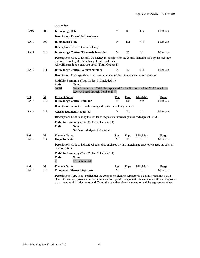|                     |                                  | data to them                                                                                                                                                                                                              |                 |                   |                |                          |
|---------------------|----------------------------------|---------------------------------------------------------------------------------------------------------------------------------------------------------------------------------------------------------------------------|-----------------|-------------------|----------------|--------------------------|
| ISA <sub>09</sub>   | <b>IO8</b>                       | <b>Interchange Date</b>                                                                                                                                                                                                   | М               | DT                | 6/6            | Must use                 |
|                     |                                  | Description: Date of the interchange                                                                                                                                                                                      |                 |                   |                |                          |
| ISA10               | I09                              | <b>Interchange Time</b>                                                                                                                                                                                                   | M               | TM                | 4/4            | Must use                 |
|                     |                                  | <b>Description:</b> Time of the interchange                                                                                                                                                                               |                 |                   |                |                          |
| ISA11               | <b>I</b> 10                      | <b>Interchange Control Standards Identifier</b>                                                                                                                                                                           | М               | ID                | 1/1            | Must use                 |
|                     |                                  | <b>Description:</b> Code to identify the agency responsible for the control standard used by the message<br>that is enclosed by the interchange header and trailer<br>All valid standard codes are used. (Total Codes: 1) |                 |                   |                |                          |
| ISA12               | 111                              | <b>Interchange Control Version Number</b>                                                                                                                                                                                 | M               | ID                | 5/5            | Must use                 |
|                     |                                  | Description: Code specifying the version number of the interchange control segments                                                                                                                                       |                 |                   |                |                          |
|                     |                                  | CodeList Summary (Total Codes: 14, Included: 1)<br>Code<br>Name<br>00401<br>Draft Standards for Trial Use Approved for Publication by ASC X12 Procedures<br>Review Board through October 1997                             |                 |                   |                |                          |
| <b>Ref</b>          | $\underline{\mathbf{Id}}$        | <b>Element Name</b>                                                                                                                                                                                                       | Req             | <b>Type</b>       | Min/Max        | <b>Usage</b>             |
| ISA13               | 112                              | <b>Interchange Control Number</b>                                                                                                                                                                                         | M               | N <sub>0</sub>    | 9/9            | Must use                 |
|                     |                                  | <b>Description:</b> A control number assigned by the interchange sender                                                                                                                                                   |                 |                   |                |                          |
| ISA14               | 113                              | <b>Acknowledgment Requested</b>                                                                                                                                                                                           | М               | ID                | 1/1            | Must use                 |
|                     |                                  | <b>Description:</b> Code sent by the sender to request an interchange acknowledgment (TA1)                                                                                                                                |                 |                   |                |                          |
|                     |                                  | CodeList Summary (Total Codes: 2, Included: 1)<br>Code<br>Name<br>$\Omega$<br>No Acknowledgment Requested                                                                                                                 |                 |                   |                |                          |
| <u>Ref</u><br>ISA15 | $\underline{\mathbf{Id}}$<br>I14 | <b>Element Name</b><br><b>Usage Indicator</b>                                                                                                                                                                             | <b>Req</b><br>M | <b>Type</b><br>ID | Min/Max<br>1/1 | <b>Usage</b><br>Must use |
|                     |                                  | <b>Description:</b> Code to indicate whether data enclosed by this interchange envelope is test, production<br>or information                                                                                             |                 |                   |                |                          |
|                     |                                  | <b>CodeList Summary</b> (Total Codes: 3, Included: 1)<br><b>Code</b><br><b>Name</b><br>$\overline{\mathbf{P}}$<br><b>Production Data</b>                                                                                  |                 |                   |                |                          |
| <u>Ref</u>          | $\underline{\mathbf{Id}}$        | <b>Element Name</b>                                                                                                                                                                                                       | <u>Req</u>      | <b>Type</b>       | Min/Max        | <b>Usage</b>             |
| ISA16               | I15                              | <b>Component Element Separator</b>                                                                                                                                                                                        | M               |                   | 1/1            | Must use                 |
|                     |                                  | <b>Description:</b> Type is not applicable; the component element separator is a delimiter and not a data<br>element; this field provides the delimiter used to separate component data elements within a composite       |                 |                   |                |                          |

data structure; this value must be different than the data element separator and the segment terminator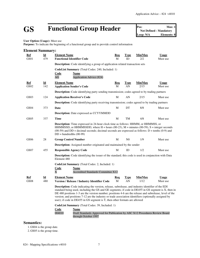# GS **Functional Group Header Pos:** Max: 1<br>
Not Defined - Mandatory<br>
Loop: N/A<br> **Elements: 8**

**Not Defined - Mandatory Elements: 8** 

**User Option (Usage):** Must use

**Purpose:** To indicate the beginning of a functional group and to provide control information

| <b>Element Summary:</b> |                                  |                                                                                                                                                                                                                                                                                                                                                                                                                                                                                                                   |                 |                   |                 |                          |  |  |
|-------------------------|----------------------------------|-------------------------------------------------------------------------------------------------------------------------------------------------------------------------------------------------------------------------------------------------------------------------------------------------------------------------------------------------------------------------------------------------------------------------------------------------------------------------------------------------------------------|-----------------|-------------------|-----------------|--------------------------|--|--|
| Ref<br>GS01             | Id<br>479                        | <b>Element Name</b><br><b>Functional Identifier Code</b>                                                                                                                                                                                                                                                                                                                                                                                                                                                          | Req<br>M        | Type<br>ID        | Min/Max<br>2/2  | <u>Usage</u><br>Must use |  |  |
|                         |                                  | <b>Description:</b> Code identifying a group of application related transaction sets                                                                                                                                                                                                                                                                                                                                                                                                                              |                 |                   |                 |                          |  |  |
|                         |                                  | CodeList Summary (Total Codes: 240, Included: 1)<br>Code<br>Name<br>AG<br>Application Advice (824)                                                                                                                                                                                                                                                                                                                                                                                                                |                 |                   |                 |                          |  |  |
| Ref<br>GS02             | $\underline{\mathbf{Id}}$<br>142 | <b>Element Name</b><br><b>Application Sender's Code</b>                                                                                                                                                                                                                                                                                                                                                                                                                                                           | Req<br>M        | Type<br>AN        | Min/Max<br>2/15 | <b>Usage</b><br>Must use |  |  |
|                         |                                  | <b>Description:</b> Code identifying party sending transmission; codes agreed to by trading partners                                                                                                                                                                                                                                                                                                                                                                                                              |                 |                   |                 |                          |  |  |
| GS <sub>03</sub>        | 124                              | <b>Application Receiver's Code</b>                                                                                                                                                                                                                                                                                                                                                                                                                                                                                | M               | AN                | 2/15            | Must use                 |  |  |
|                         |                                  | <b>Description:</b> Code identifying party receiving transmission; codes agreed to by trading partners                                                                                                                                                                                                                                                                                                                                                                                                            |                 |                   |                 |                          |  |  |
| GS <sub>04</sub>        | 373                              | Date                                                                                                                                                                                                                                                                                                                                                                                                                                                                                                              | M               | DT                | 8/8             | Must use                 |  |  |
|                         |                                  | <b>Description:</b> Date expressed as CCYYMMDD                                                                                                                                                                                                                                                                                                                                                                                                                                                                    |                 |                   |                 |                          |  |  |
| GS <sub>05</sub>        | 337                              | <b>Time</b>                                                                                                                                                                                                                                                                                                                                                                                                                                                                                                       | M               | TM                | 4/8             | Must use                 |  |  |
|                         |                                  | <b>Description:</b> Time expressed in 24-hour clock time as follows: HHMM, or HHMMSS, or<br>HHMMSSD, or HHMMSSDD, where H = hours (00-23), $M =$ minutes (00-59), S = integer seconds<br>$(00-59)$ and DD = decimal seconds; decimal seconds are expressed as follows: D = tenths (0-9) and<br>$DD = hundredths (00-99)$                                                                                                                                                                                          |                 |                   |                 |                          |  |  |
| GS <sub>06</sub>        | 28                               | <b>Group Control Number</b>                                                                                                                                                                                                                                                                                                                                                                                                                                                                                       | M               | N <sub>0</sub>    | 1/9             | Must use                 |  |  |
|                         |                                  | Description: Assigned number originated and maintained by the sender                                                                                                                                                                                                                                                                                                                                                                                                                                              |                 |                   |                 |                          |  |  |
| GS07                    | 455                              | <b>Responsible Agency Code</b>                                                                                                                                                                                                                                                                                                                                                                                                                                                                                    | М               | ID                | 1/2             | Must use                 |  |  |
|                         |                                  | Description: Code identifying the issuer of the standard; this code is used in conjunction with Data<br>Element 480                                                                                                                                                                                                                                                                                                                                                                                               |                 |                   |                 |                          |  |  |
|                         |                                  | CodeList Summary (Total Codes: 2, Included: 1)<br>Code<br>Name<br>$\overline{\text{X}}$<br><b>Accredited Standards Committee X12</b>                                                                                                                                                                                                                                                                                                                                                                              |                 |                   |                 |                          |  |  |
| Ref<br><b>GS08</b>      | Id<br>480                        | <b>Element Name</b><br><b>Version / Release / Industry Identifier Code</b>                                                                                                                                                                                                                                                                                                                                                                                                                                        | <u>Req</u><br>M | <b>Type</b><br>AN | Min/Max<br>1/12 | <b>Usage</b><br>Must use |  |  |
|                         |                                  | <b>Description:</b> Code indicating the version, release, subrelease, and industry identifier of the EDI<br>standard being used, including the GS and GE segments; if code in DE455 in GS segment is X, then in<br>DE 480 positions 1-3 are the version number; positions 4-6 are the release and subrelease, level of the<br>version; and positions 7-12 are the industry or trade association identifiers (optionally assigned by<br>user); if code in DE455 in GS segment is T, then other formats are allowed |                 |                   |                 |                          |  |  |
|                         |                                  | CodeList Summary (Total Codes: 39, Included: 1)<br>Code<br>Name<br>004010<br>Draft Standards Approved for Publication by ASC X12 Procedures Review Board<br>through October 1997                                                                                                                                                                                                                                                                                                                                  |                 |                   |                 |                          |  |  |

### **Semantics:**

1. GS04 is the group date.

2. GS05 is the group time.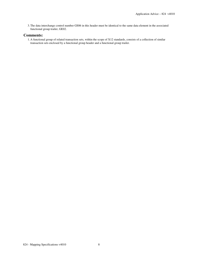3.The data interchange control number GS06 in this header must be identical to the same data element in the associated functional group trailer, GE02.

#### **Comments:**

1. A functional group of related transaction sets, within the scope of X12 standards, consists of a collection of similar transaction sets enclosed by a functional group header and a functional group trailer.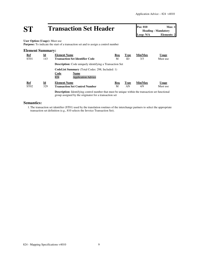## **ST Transaction Set Header Pos: 010 Max: 1**<br> **Pos: 010 Max: 1**<br> **Loop: N/A Elements: 2**

**Heading - Mandatory Elements: 2** 

**User Option (Usage):** Must use

**Purpose:** To indicate the start of a transaction set and to assign a control number

#### **Element Summary:**

| <b>Ref</b>       | Id  | <b>Element Name</b>                                                                                         | Req | <b>Type</b> | Min/Max | <b>Usage</b> |
|------------------|-----|-------------------------------------------------------------------------------------------------------------|-----|-------------|---------|--------------|
| ST <sub>01</sub> | 143 | <b>Transaction Set Identifier Code</b>                                                                      | М   | ID          | 3/3     | Must use     |
|                  |     | <b>Description:</b> Code uniquely identifying a Transaction Set                                             |     |             |         |              |
|                  |     | <b>CodeList Summary</b> (Total Codes: 298, Included: 1)<br>Code<br>Name<br>824<br><b>Application Advice</b> |     |             |         |              |
| <b>Ref</b>       | Id  | <b>Element Name</b>                                                                                         | Req | <b>Type</b> | Min/Max | <b>Usage</b> |
| ST <sub>02</sub> | 329 | <b>Transaction Set Control Number</b>                                                                       | М   | AN          | 4/9     | Must use     |

**Description:** Identifying control number that must be unique within the transaction set functional group assigned by the originator for a transaction set

#### **Semantics:**

1.The transaction set identifier (ST01) used by the translation routines of the interchange partners to select the appropriate transaction set definition (e.g., 810 selects the Invoice Transaction Set).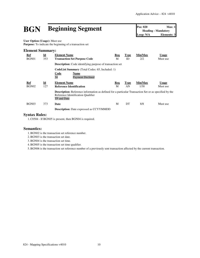## **BGN Beginning Segment Pos: 020 Max: 1**<br> **Pos: 020 Max: 1**<br> **Loop: N/A Elements: 3**

**Heading - Mandatory Elements: 3** 

**User Option (Usage):** Must use **Purpose:** To indicate the beginning of a transaction set

#### **Element Summary:**

| Ref<br>BGN01 | $\underline{\mathbf{Id}}$<br>353 | <b>Element Name</b><br><b>Transaction Set Purpose Code</b>                                                                                                        | Req<br>М | <b>Type</b><br>ID | Min/Max<br>2/2  | <b>Usage</b><br>Must use |
|--------------|----------------------------------|-------------------------------------------------------------------------------------------------------------------------------------------------------------------|----------|-------------------|-----------------|--------------------------|
|              |                                  | <b>Description:</b> Code identifying purpose of transaction set                                                                                                   |          |                   |                 |                          |
|              |                                  | <b>CodeList Summary</b> (Total Codes: 65, Included: 1)<br>Code<br>Name<br>34<br><b>Payment Declined</b>                                                           |          |                   |                 |                          |
| Ref<br>BGN02 | $\underline{\mathbf{Id}}$<br>127 | <b>Element Name</b><br><b>Reference Identification</b>                                                                                                            | Req<br>М | <b>Type</b><br>AN | Min/Max<br>1/30 | <b>Usage</b><br>Must use |
|              |                                  | <b>Description:</b> Reference information as defined for a particular Transaction Set or as specified by the<br>Reference Identification Qualifier<br>TP and Date |          |                   |                 |                          |
| BGN03        | 373                              | Date                                                                                                                                                              | M        | DT                | 8/8             | Must use                 |
|              |                                  | <b>Description:</b> Date expressed as CCYYMMDD                                                                                                                    |          |                   |                 |                          |

#### **Syntax Rules:**

1.C0504 - If BGN05 is present, then BGN04 is required.

#### **Semantics:**

- 1.BGN02 is the transaction set reference number.
- 2.BGN03 is the transaction set date.
- 3.BGN04 is the transaction set time.
- 4.BGN05 is the transaction set time qualifier.

5.BGN06 is the transaction set reference number of a previously sent transaction affected by the current transaction.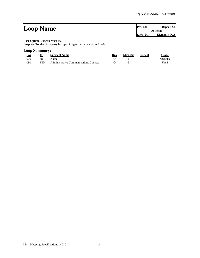#### **Loop Name Pos:** 030 **Repeat:** >1 **Optional Loop: N1 Elements: N/A User Option (Usage):** Must use

**Purpose:** To identify a party by type of organization, name, and code

#### **Loop Summary:**

| Pos | Id         | <b>Segment Name</b>                   | Req | <b>Max Use</b> | Repeat | Usage    |
|-----|------------|---------------------------------------|-----|----------------|--------|----------|
| 030 | N1         | <b>Name</b>                           |     |                |        | Must use |
| 080 | <b>PER</b> | Administrative Communications Contact |     |                |        | Used     |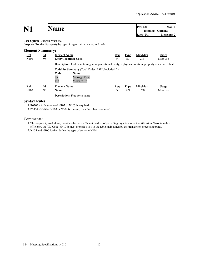| N1                                   |                           | <b>Name</b>                                                                                                   |            |             | Pos: 030<br>Loop: N1 | Max:1<br><b>Heading - Optional</b><br>Elements: 2 |
|--------------------------------------|---------------------------|---------------------------------------------------------------------------------------------------------------|------------|-------------|----------------------|---------------------------------------------------|
| <b>User Option (Usage):</b> Must use |                           | <b>Purpose:</b> To identify a party by type of organization, name, and code                                   |            |             |                      |                                                   |
| <b>Element Summary:</b>              |                           |                                                                                                               |            |             |                      |                                                   |
| <b>Ref</b>                           | $\underline{\mathbf{Id}}$ | <b>Element Name</b>                                                                                           | <u>Req</u> | <b>Type</b> | Min/Max              | <b>Usage</b>                                      |
| N <sub>10</sub> 1                    | 98                        | <b>Entity Identifier Code</b>                                                                                 | M          | ID          | 2/3                  | Must use                                          |
|                                      |                           | <b>Description:</b> Code identifying an organizational entity, a physical location, property or an individual |            |             |                      |                                                   |
|                                      |                           | <b>CodeList Summary</b> (Total Codes: 1312, Included: 2)                                                      |            |             |                      |                                                   |
|                                      |                           | Code<br>Name<br>FR<br><b>Message From</b><br>TO<br>Message To                                                 |            |             |                      |                                                   |
| <u>Ref</u>                           | $\underline{\mathbf{Id}}$ | <b>Element Name</b>                                                                                           | <b>Req</b> | <b>Type</b> | Min/Max              | <b>Usage</b>                                      |
| N <sub>1</sub> 02                    | 93                        | <b>Name</b>                                                                                                   | X          | AN          | 1/60                 | Must use                                          |
|                                      |                           | <b>Description:</b> Free-form name                                                                            |            |             |                      |                                                   |

#### **Syntax Rules:**

1.R0203 - At least one of N102 or N103 is required.

2. P0304 - If either N103 or N104 is present, then the other is required.

#### **Comments:**

1.This segment, used alone, provides the most efficient method of providing organizational identification. To obtain this efficiency the "ID Code" (N104) must provide a key to the table maintained by the transaction processing party. 2. N105 and N106 further define the type of entity in N101.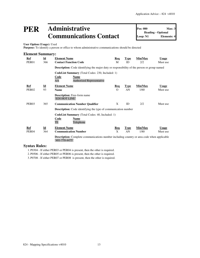### **PER Administrative Communications Contact**

**Pos: 080 Max: 3 Heading - Optional Loop: N1 Elements: 4**

**User Option (Usage):** Used

**Purpose:** To identify a person or office to whom administrative communications should be directed

| <b>Element Summary:</b> |                           |                                                                                                                           |            |             |         |              |  |  |  |
|-------------------------|---------------------------|---------------------------------------------------------------------------------------------------------------------------|------------|-------------|---------|--------------|--|--|--|
| Ref                     | $\underline{\mathbf{Id}}$ | <b>Element Name</b>                                                                                                       | Req        | <b>Type</b> | Min/Max | <b>Usage</b> |  |  |  |
| PER <sub>01</sub>       | 366                       | <b>Contact Function Code</b>                                                                                              | M          | ID          | 2/2     | Must use     |  |  |  |
|                         |                           | <b>Description:</b> Code identifying the major duty or responsibility of the person or group named                        |            |             |         |              |  |  |  |
|                         |                           | <b>CodeList Summary</b> (Total Codes: 230, Included: 1)                                                                   |            |             |         |              |  |  |  |
|                         |                           | Code<br>Name<br>AA<br><b>Authorized Representative</b>                                                                    |            |             |         |              |  |  |  |
| Ref                     | $\underline{\mathbf{Id}}$ | <b>Element Name</b>                                                                                                       | <u>Req</u> | <b>Type</b> | Min/Max | <b>Usage</b> |  |  |  |
| PER <sub>02</sub>       | 93                        | <b>Name</b>                                                                                                               | $\Omega$   | AN          | 1/60    | Must use     |  |  |  |
|                         |                           | <b>Description:</b> Free-form name<br>'EDI HOT LINE'                                                                      |            |             |         |              |  |  |  |
| PER <sub>03</sub>       | 365                       | <b>Communication Number Qualifier</b>                                                                                     | X          | ID          | 2/2     | Must use     |  |  |  |
|                         |                           | <b>Description:</b> Code identifying the type of communication number                                                     |            |             |         |              |  |  |  |
|                         |                           | <b>CodeList Summary</b> (Total Codes: 40, Included: 1)                                                                    |            |             |         |              |  |  |  |
|                         |                           | <b>Code</b><br><b>Name</b><br>TE<br>Telephone                                                                             |            |             |         |              |  |  |  |
| Ref                     | $\underline{\mathbf{Id}}$ | <b>Element Name</b>                                                                                                       | Req        | <b>Type</b> | Min/Max | <b>Usage</b> |  |  |  |
| PER <sub>04</sub>       | 364                       | <b>Communication Number</b>                                                                                               | X          | AN          | 1/80    | Must use     |  |  |  |
|                         |                           | <b>Description:</b> Complete communications number including country or area code when applicable<br>$'401 - 770 - 4475'$ |            |             |         |              |  |  |  |

#### **Syntax Rules:**

1. P0304 - If either PER03 or PER04 is present, then the other is required.

2. P0506 - If either PER05 or PER06 is present, then the other is required.

3. P0708 - If either PER07 or PER08 is present, then the other is required.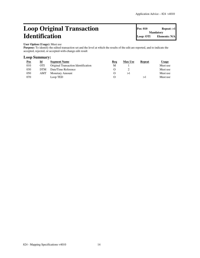### **Loop Original Transaction Identification**

**Pos: 010 Repeat: >1 Mandatory Loop: OTI Elements: N/A**

### **User Option (Usage):** Must use

Purpose: To identify the edited transaction set and the level at which the results of the edit are reported, and to indicate the accepted, rejected, or accepted-with-change edit result

#### **Loop Summary:**

| <u>Pos</u> | Id         | <b>Segment Name</b>                 | Req | <b>Max Use</b> | Repeat | Usage    |
|------------|------------|-------------------------------------|-----|----------------|--------|----------|
| 010        | <b>OTI</b> | Original Transaction Identification | M   |                |        | Must use |
| 030        | <b>DTM</b> | Date/Time Reference                 |     |                |        | Must use |
| 050        | AMT        | <b>Monetary Amount</b>              |     |                |        | Must use |
| 070        |            | Loop TED                            |     |                |        | Must use |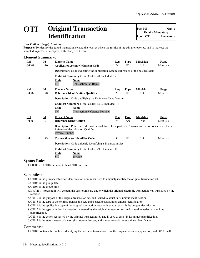### **OTI Original Transaction Identification**

**Pos: 010 Max: 1 Detail - Mandatory Loop: OTI Elements: 4**

#### **User Option (Usage):** Must use

**Purpose:** To identify the edited transaction set and the level at which the results of the edit are reported, and to indicate the accepted, rejected, or accepted-with-change edit result

#### **Element Summary:**

| Ref<br>OTI01         | $\underline{\mathbf{Id}}$<br>110 | <b>Element Name</b><br><b>Application Acknowledgment Code</b>                                                                                                               | Req<br>M   | Type<br>ID        | Min/Max<br>1/2 | <b>Usage</b><br>Must use |
|----------------------|----------------------------------|-----------------------------------------------------------------------------------------------------------------------------------------------------------------------------|------------|-------------------|----------------|--------------------------|
|                      |                                  | Description: Code indicating the application system edit results of the business data                                                                                       |            |                   |                |                          |
|                      |                                  | <b>CodeList Summary</b> (Total Codes: 20, Included: 1)<br>Code<br>Name<br>TR<br><b>Transaction Set Reject</b>                                                               |            |                   |                |                          |
| Ref<br>OTI02         | $\underline{\mathbf{Id}}$<br>128 | <b>Element Name</b><br><b>Reference Identification Qualifier</b>                                                                                                            | Req<br>M   | <b>Type</b><br>ID | Min/Max<br>2/3 | <b>Usage</b><br>Must use |
|                      |                                  | <b>Description:</b> Code qualifying the Reference Identification                                                                                                            |            |                   |                |                          |
|                      |                                  | <b>CodeList Summary</b> (Total Codes: 1503, Included: 1)<br>Code<br>Name<br><b>Transaction Reference Number</b><br>TN                                                       |            |                   |                |                          |
| <b>Ref</b>           | <b>Id</b>                        | <b>Element Name</b>                                                                                                                                                         | <b>Req</b> | <b>Type</b>       | Min/Max        | <b>Usage</b>             |
| OTI03                | 127                              | <b>Reference Identification</b>                                                                                                                                             | M          | AN                | 1/30           | Must use                 |
|                      |                                  | <b>Description:</b> Reference information as defined for a particular Transaction Set or as specified by the<br>Reference Identification Qualifier<br><b>Invoice Number</b> |            |                   |                |                          |
| OTI10                | 143                              | <b>Transaction Set Identifier Code</b>                                                                                                                                      | $\Omega$   | ID                | 3/3            | Must use                 |
|                      |                                  | <b>Description:</b> Code uniquely identifying a Transaction Set                                                                                                             |            |                   |                |                          |
| <b>Syntax Rules:</b> |                                  | CodeList Summary (Total Codes: 298, Included: 1)<br><b>Code</b><br><b>Name</b><br>810<br>Invoice                                                                            |            |                   |                |                          |

1.C0908 - If OTI09 is present, then OTI08 is required.

#### **Semantics:**

- 1. OTI03 is the primary reference identification or number used to uniquely identify the original transaction set.
- 2. OTI06 is the group date.
- 3. OTI07 is the group time.
- 4.If OTI11 is present, it will contain the version/release under which the original electronic transaction was translated by the receiver.
- 5. OTI12 is the purpose of the original transaction set, and is used to assist in its unique identification.
- 6. OTI13 is the type of the original transaction set, and is used to assist in its unique identification.
- 7. OTI14 is the application type of the original transaction set, and is used to assist in its unique identification.
- 8. OTI15 is the type of action indicated or requested by the original transaction set, and is used to assist in its unique identification.
- 9. OTI16 is the action requested by the original transaction set, and is used to assist in its unique identification.
- 10. OTI17 is the status reason of the original transaction set, and is used to assist in its unique identification.

#### **Comments:**

1. OTI02 contains the qualifier identifying the business transaction from the original business application, and OTI03 will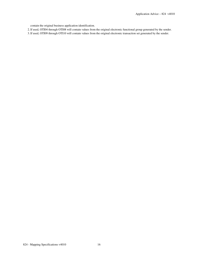contain the original business application identification.

- 2.If used, OTI04 through OTI08 will contain values from the original electronic functional group generated by the sender.
- 3.If used, OTI09 through OTI10 will contain values from the original electronic transaction set generated by the sender.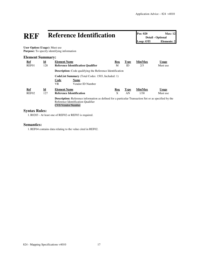| REF                                  |                           | <b>Reference Identification</b>                                                                                                                                                |            |             |         | <b>Max: 12</b><br>Detail - Optional<br><b>Elements: 2</b> |
|--------------------------------------|---------------------------|--------------------------------------------------------------------------------------------------------------------------------------------------------------------------------|------------|-------------|---------|-----------------------------------------------------------|
| <b>User Option (Usage):</b> Must use |                           | <b>Purpose:</b> To specify identifying information                                                                                                                             |            |             |         |                                                           |
| <b>Element Summary:</b>              |                           |                                                                                                                                                                                |            |             |         |                                                           |
| <u>Ref</u>                           | $\underline{\mathbf{Id}}$ | <b>Element Name</b>                                                                                                                                                            | <b>Req</b> | <b>Type</b> | Min/Max | <u>Usage</u>                                              |
| REF01                                | 128                       | <b>Reference Identification Qualifier</b>                                                                                                                                      | M          | ID          | 2/3     | Must use                                                  |
|                                      |                           | <b>Description:</b> Code qualifying the Reference Identification                                                                                                               |            |             |         |                                                           |
|                                      |                           | <b>CodeList Summary</b> (Total Codes: 1503, Included: 1)<br>Code<br><b>Name</b><br>Vendor ID Number<br>VR                                                                      |            |             |         |                                                           |
| <b>Ref</b>                           | $\underline{\mathbf{Id}}$ | <b>Element Name</b>                                                                                                                                                            | <b>Req</b> | <b>Type</b> | Min/Max | <b>Usage</b>                                              |
| REF <sub>02</sub>                    | 127                       | <b>Reference Identification</b>                                                                                                                                                | X          | AN          | 1/30    | Must use                                                  |
|                                      |                           | <b>Description:</b> Reference information as defined for a particular Transaction Set or as specified by the<br>Reference Identification Qualifier<br><b>CVS Vendor Number</b> |            |             |         |                                                           |

#### **Syntax Rules:**

1.R0203 - At least one of REF02 or REF03 is required.

#### **Semantics:**

1.REF04 contains data relating to the value cited in REF02.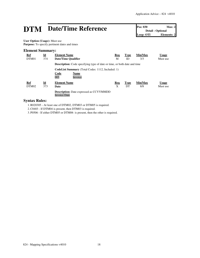# **DTM** Date/Time Reference **Pos: 030** Max: 2<br>
Loop: OTI Elements: 2

**Detail - Optional Elements: 2** 

**User Option (Usage):** Must use **Purpose:** To specify pertinent dates and times

#### **Element Summary:**

| <u>Ref</u><br>DTM01 | $\underline{\mathbf{Id}}$<br>374 | <b>Element Name</b><br>Date/Time Qualifier                                                        | Req<br>М | <b>Type</b><br>ID | Min/Max<br>3/3 | <b>Usage</b><br>Must use |
|---------------------|----------------------------------|---------------------------------------------------------------------------------------------------|----------|-------------------|----------------|--------------------------|
|                     |                                  | <b>Description:</b> Code specifying type of date or time, or both date and time                   |          |                   |                |                          |
|                     |                                  | <b>CodeList Summary</b> (Total Codes: 1112, Included: 1)<br><b>Code</b><br>Name<br>003<br>Invoice |          |                   |                |                          |
| <b>Ref</b><br>DTM02 | Id<br>373                        | <b>Element Name</b><br>Date                                                                       | Req<br>X | <b>Type</b><br>DT | Min/Max<br>8/8 | <b>Usage</b><br>Must use |
|                     |                                  | <b>Description:</b> Date expressed as CCYYMMDD<br><b>Invoice Date</b>                             |          |                   |                |                          |

#### **Syntax Rules:**

1.R020305 - At least one of DTM02, DTM03 or DTM05 is required.

2.C0403 - If DTM04 is present, then DTM03 is required.

3. P0506 - If either DTM05 or DTM06 is present, then the other is required.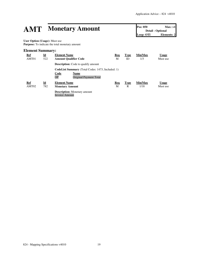# **AMT Monetary Amount Pos: 050 Max:** >1<br> **Detail** - Optional<br> **Loop: OTI Elements: 2**

**Detail - Optional Elements: 2** 

**User Option (Usage):** Must use **Purpose:** To indicate the total monetary amount

#### **Element Summary:**

| Ref<br>AMT01        | $\underline{\mathbf{Id}}$<br>522 | <b>Element Name</b><br><b>Amount Qualifier Code</b>                                                                    | Req<br>М | <b>Type</b><br>ID | Min/Max<br>1/3  | <u>Usage</u><br>Must use |
|---------------------|----------------------------------|------------------------------------------------------------------------------------------------------------------------|----------|-------------------|-----------------|--------------------------|
|                     |                                  | <b>Description:</b> Code to qualify amount                                                                             |          |                   |                 |                          |
|                     |                                  | <b>CodeList Summary</b> (Total Codes: 1473, Included: 1)<br>Code<br>Name<br><b>Original Payment Total</b><br><b>OP</b> |          |                   |                 |                          |
| <b>Ref</b><br>AMT02 | $\underline{\mathbf{Id}}$<br>782 | <b>Element Name</b><br><b>Monetary Amount</b>                                                                          | Req<br>М | <b>Type</b><br>R  | Min/Max<br>1/18 | <b>Usage</b><br>Must use |
|                     |                                  | <b>Description:</b> Monetary amount<br>Invoice Amount                                                                  |          |                   |                 |                          |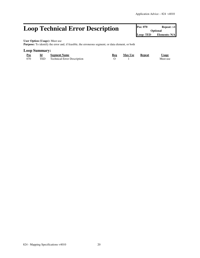### **Loop Technical Error Description Pos: 070 Repeat: >1 Optional**

**Optional Loop: TED Elements: N/A**

**User Option (Usage):** Must use

Purpose: To identify the error and, if feasible, the erroneous segment, or data element, or both

#### **Loop Summary:**

| Pos | Id | <b>Segment Name</b>             | Req | <b>Max Use</b> | <b>Repeat</b> | <u>Usage</u> |
|-----|----|---------------------------------|-----|----------------|---------------|--------------|
| 070 |    | TED Technical Error Description |     |                |               | Must use     |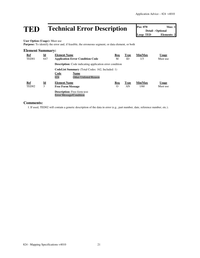## **TED Technical Error Description Pos: 070 Max: 1**<br> **Designal** Loop: TED **Elements: 2**<br> **Loop: TED Elements: 2**

**Detail - Optional Lements: 2** 

**User Option (Usage):** Must use

Purpose: To identify the error and, if feasible, the erroneous segment, or data element, or both

#### **Element Summary:**

| <b>Ref</b><br>TED <sub>01</sub> | $\underline{\mathbf{Id}}$<br>647 | <b>Element Name</b><br><b>Application Error Condition Code</b>                                                          | Req<br>М        | Type<br>ID        | Min/Max<br>1/3  | <b>Usage</b><br>Must use |
|---------------------------------|----------------------------------|-------------------------------------------------------------------------------------------------------------------------|-----------------|-------------------|-----------------|--------------------------|
|                                 |                                  | <b>Description:</b> Code indicating application error condition                                                         |                 |                   |                 |                          |
|                                 |                                  | <b>CodeList Summary</b> (Total Codes: 162, Included: 1)<br>Code<br>Name<br>024<br><b>Other Unlisted Reason</b>          |                 |                   |                 |                          |
| Ref<br>TED <sub>02</sub>        | Id<br>3                          | <b>Element Name</b><br><b>Free Form Message</b><br><b>Description:</b> Free-form text<br><b>Error Message/Condition</b> | Req<br>$\Omega$ | <b>Type</b><br>AN | Min/Max<br>1/60 | <b>Usage</b><br>Must use |

#### **Comments:**

1.If used, TED02 will contain a generic description of the data in error (e.g., part number, date, reference number, etc.).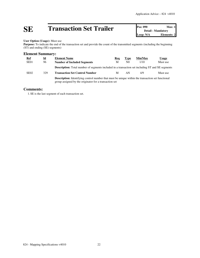# **SE Transaction Set Trailer Pos: 090 Max: 1**<br> **Detail - Mandatory**<br> **Loop: N/A Elements: 2**

**Detail - Mandatory Elements: 2** 

#### **User Option (Usage):** Must use

Purpose: To indicate the end of the transaction set and provide the count of the transmitted segments (including the beginning (ST) and ending (SE) segments)

#### **Element Summary:**

| <b>Ref</b>       | $\underline{\mathbf{Id}}$ | <b>Element Name</b>                                                                                                                                                | Req | <b>Type</b>    | Min/Max | Usage    |  |  |
|------------------|---------------------------|--------------------------------------------------------------------------------------------------------------------------------------------------------------------|-----|----------------|---------|----------|--|--|
| SE <sub>01</sub> | 96                        | <b>Number of Included Segments</b>                                                                                                                                 | M   | N <sub>0</sub> | 1/10    | Must use |  |  |
|                  |                           | <b>Description:</b> Total number of segments included in a transaction set including ST and SE segments                                                            |     |                |         |          |  |  |
| SE <sub>02</sub> | 329                       | <b>Transaction Set Control Number</b>                                                                                                                              | M   | AN             | 4/9     | Must use |  |  |
|                  |                           | <b>Description:</b> Identifying control number that must be unique within the transaction set functional<br>group assigned by the originator for a transaction set |     |                |         |          |  |  |

#### **Comments:**

1. SE is the last segment of each transaction set.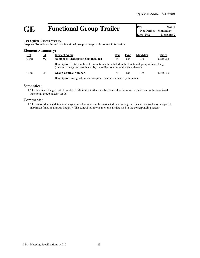## **GE Functional Group Trailer Pos:** Max: 1<br>
Not Defined - Mandatory<br>
Loop: N/A<br> **Elements: 2**

**Not Defined - Mandatory** Loop: N/A

**User Option (Usage):** Must use

**Purpose:** To indicate the end of a functional group and to provide control information

| <b>Element Summary:</b> |    |                                                                                                                                                                                     |     |                |         |              |  |  |  |
|-------------------------|----|-------------------------------------------------------------------------------------------------------------------------------------------------------------------------------------|-----|----------------|---------|--------------|--|--|--|
| <u>Ref</u>              | Id | <b>Element Name</b>                                                                                                                                                                 | Req | <b>Type</b>    | Min/Max | <u>Usage</u> |  |  |  |
| GE01                    | 97 | <b>Number of Transaction Sets Included</b>                                                                                                                                          | M   | N <sub>0</sub> | 1/6     | Must use     |  |  |  |
|                         |    | <b>Description:</b> Total number of transaction sets included in the functional group or interchange<br>(transmission) group terminated by the trailer containing this data element |     |                |         |              |  |  |  |
| GE02                    | 28 | <b>Group Control Number</b>                                                                                                                                                         | M   | N0             | 1/9     | Must use     |  |  |  |
|                         |    | <b>Description:</b> Assigned number originated and maintained by the sender                                                                                                         |     |                |         |              |  |  |  |

#### **Semantics:**

1.The data interchange control number GE02 in this trailer must be identical to the same data element in the associated functional group header, GS06.

#### **Comments:**

1.The use of identical data interchange control numbers in the associated functional group header and trailer is designed to maximize functional group integrity. The control number is the same as that used in the corresponding header.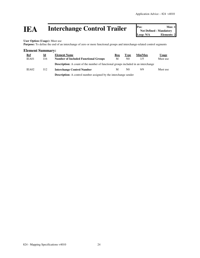## **IEA** Interchange Control Trailer **Pos:** Max: 1<br>
Mot Defined - Mandatory<br>
Loop: N/A<br>
Elements: 2

**Not Defined - Mandatory Elements: 2** 

**User Option (Usage):** Must use

Purpose: To define the end of an interchange of zero or more functional groups and interchange-related control segments

#### **Element Summary:**

| <u>Ref</u> | $\underline{\mathbf{Id}}$ | <b>Element Name</b>                                                                       | Reg | Type           | Min/Max | <b>Usage</b> |
|------------|---------------------------|-------------------------------------------------------------------------------------------|-----|----------------|---------|--------------|
| IEA01      | 116                       | <b>Number of Included Functional Groups</b>                                               | M   | N0             | 1/5     | Must use     |
|            |                           | <b>Description:</b> A count of the number of functional groups included in an interchange |     |                |         |              |
| IEA02      | 112                       | <b>Interchange Control Number</b>                                                         | M   | N <sub>0</sub> | 9/9     | Must use     |
|            |                           | Description: $\Lambda$ control number assigned by the interchange sender                  |     |                |         |              |

**Description:** A control number assigned by the interchange sender